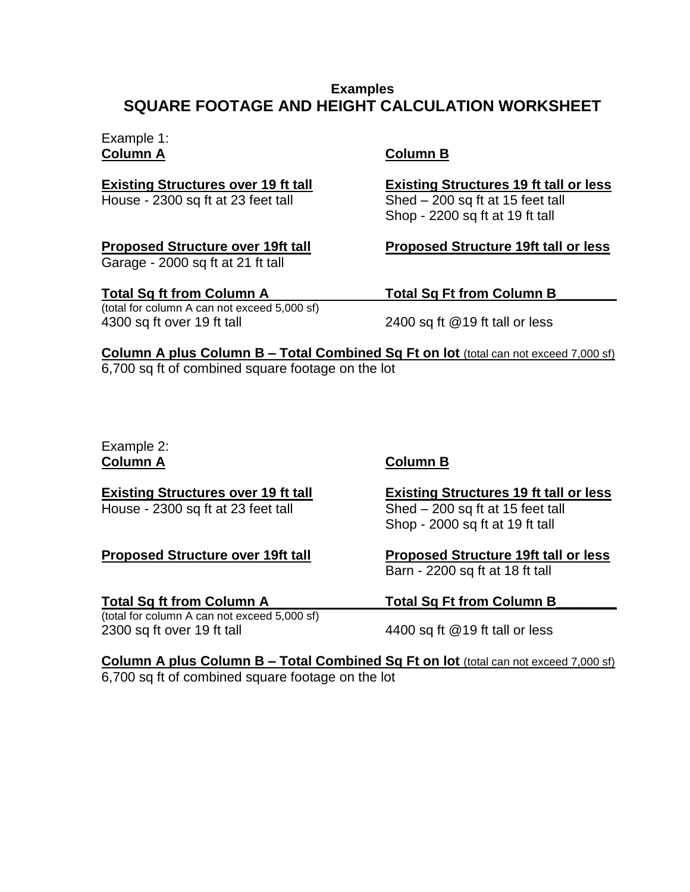# **Examples SQUARE FOOTAGE AND HEIGHT CALCULATION WORKSHEET**

Example 1: **Column A Column B**

Garage - 2000 sq ft at 21 ft tall

(total for column A can not exceed 5,000 sf) 4300 sq ft over 19 ft tall 2400 sq ft @19 ft tall or less

**Existing Structures over 19 ft tall Existing Structures 19 ft tall or less** House - 2300 sq ft at 23 feet tall Shed – 200 sq ft at 15 feet tall Shop - 2200 sq ft at 19 ft tall

**Proposed Structure over 19ft tall Proposed Structure 19ft tall or less** 

Total Sq ft from Column A Total Sq Ft from Column B

**Column A plus Column B – Total Combined Sq Ft on lot** (total can not exceed 7,000 sf) 6,700 sq ft of combined square footage on the lot

### Example 2: **Column A Column B**

House - 2300 sq ft at 23 feet tall Shed – 200 sq ft at 15 feet tall

(total for column A can not exceed 5,000 sf) 2300 sq ft over 19 ft tall 4400 sq ft @19 ft tall or less

**Existing Structures over 19 ft tall Existing Structures 19 ft tall or less** Shop - 2000 sq ft at 19 ft tall

**Proposed Structure over 19ft tall Proposed Structure 19ft tall or less**  Barn - 2200 sq ft at 18 ft tall

Total Sq ft from Column A Total Sq Ft from Column B

**Column A plus Column B – Total Combined Sq Ft on lot** (total can not exceed 7,000 sf) 6,700 sq ft of combined square footage on the lot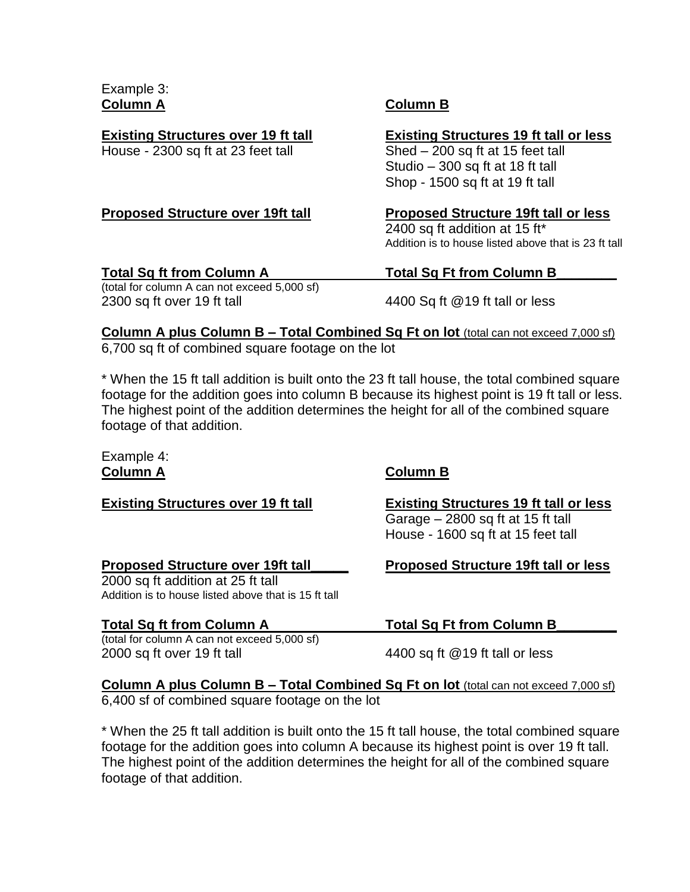Example 3: **Column A Column B**

House - 2300 sq ft at 23 feet tall Shed – 200 sq ft at 15 feet tall

## **Existing Structures over 19 ft tall Existing Structures 19 ft tall or less**

Studio – 300 sq ft at 18 ft tall Shop - 1500 sq ft at 19 ft tall

## **Proposed Structure over 19ft tall Proposed Structure 19ft tall or less**

2400 sq ft addition at 15 ft\* Addition is to house listed above that is 23 ft tall

# Total Sq ft from Column A Total Sq Ft from Column B

(total for column A can not exceed 5,000 sf) 2300 sq ft over 19 ft tall 4400 Sq ft @19 ft tall or less

**Column A plus Column B – Total Combined Sq Ft on lot** (total can not exceed 7,000 sf) 6,700 sq ft of combined square footage on the lot

\* When the 15 ft tall addition is built onto the 23 ft tall house, the total combined square footage for the addition goes into column B because its highest point is 19 ft tall or less. The highest point of the addition determines the height for all of the combined square footage of that addition.

Example 4: **Column A Column B**

2000 sq ft addition at 25 ft tall Addition is to house listed above that is 15 ft tall

### **Total Sq ft from Column A Total Sq Ft from Column B\_\_\_\_\_\_\_\_**

(total for column A can not exceed 5,000 sf) 2000 sq ft over 19 ft tall 4400 sq ft @19 ft tall or less

**Existing Structures over 19 ft tall Existing Structures 19 ft tall or less** Garage – 2800 sq ft at 15 ft tall House - 1600 sq ft at 15 feet tall

**Proposed Structure over 19ft tall\_\_\_\_\_ Proposed Structure 19ft tall or less** 

**Column A plus Column B – Total Combined Sq Ft on lot** (total can not exceed 7,000 sf) 6,400 sf of combined square footage on the lot

\* When the 25 ft tall addition is built onto the 15 ft tall house, the total combined square footage for the addition goes into column A because its highest point is over 19 ft tall. The highest point of the addition determines the height for all of the combined square footage of that addition.